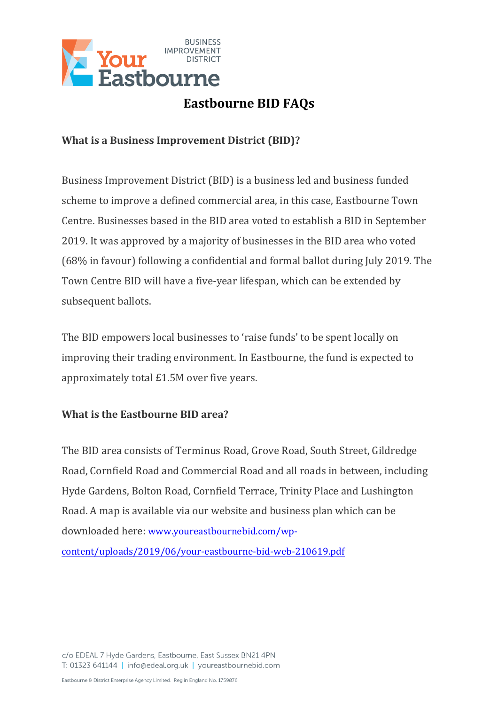

# **Eastbourne BID FAQs**

## **What is a Business Improvement District (BID)?**

Business Improvement District (BID) is a business led and business funded scheme to improve a defined commercial area, in this case, Eastbourne Town Centre. Businesses based in the BID area voted to establish a BID in September 2019. It was approved by a majority of businesses in the BID area who voted (68% in favour) following a confidential and formal ballot during July 2019. The Town Centre BID will have a five-year lifespan, which can be extended by subsequent ballots.

The BID empowers local businesses to 'raise funds' to be spent locally on improving their trading environment. In Eastbourne, the fund is expected to approximately total £1.5M over five years.

## **What is the Eastbourne BID area?**

The BID area consists of Terminus Road, Grove Road, South Street, Gildredge Road, Cornfield Road and Commercial Road and all roads in between, including Hyde Gardens, Bolton Road, Cornfield Terrace, Trinity Place and Lushington Road. A map is available via our website and business plan which can be downloaded here: [www.youreastbournebid.com/wp-](http://www.youreastbournebid.com/wp-content/uploads/2019/06/your-eastbourne-bid-web-210619.pdf)

[content/uploads/2019/06/your-eastbourne-bid-web-210619.pdf](http://www.youreastbournebid.com/wp-content/uploads/2019/06/your-eastbourne-bid-web-210619.pdf)

c/o EDEAL 7 Hyde Gardens, Eastbourne, East Sussex BN21 4PN T: 01323 641144 | info@edeal.org.uk | youreastbournebid.com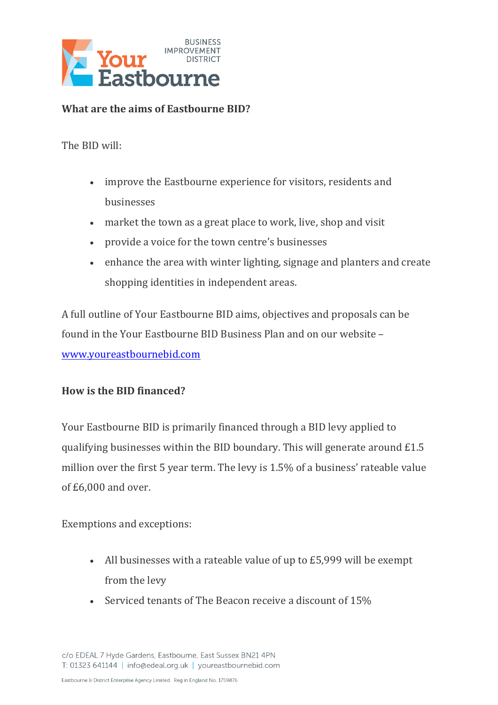

## **What are the aims of Eastbourne BID?**

The BID will:

- improve the Eastbourne experience for visitors, residents and businesses
- market the town as a great place to work, live, shop and visit
- provide a voice for the town centre's businesses
- enhance the area with winter lighting, signage and planters and create shopping identities in independent areas.

A full outline of Your Eastbourne BID aims, objectives and proposals can be found in the Your Eastbourne BID Business Plan and on our website – [www.youreastbournebid.com](http://www.youreastbournebid.com/)

#### **How is the BID financed?**

Your Eastbourne BID is primarily financed through a BID levy applied to qualifying businesses within the BID boundary. This will generate around £1.5 million over the first 5 year term. The levy is 1.5% of a business' rateable value of £6,000 and over.

Exemptions and exceptions:

- All businesses with a rateable value of up to £5,999 will be exempt from the levy
- Serviced tenants of The Beacon receive a discount of 15%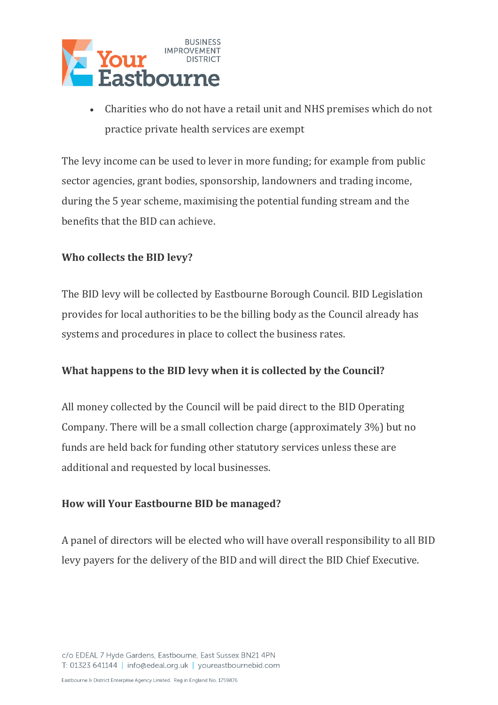

 Charities who do not have a retail unit and NHS premises which do not practice private health services are exempt

The levy income can be used to lever in more funding; for example from public sector agencies, grant bodies, sponsorship, landowners and trading income, during the 5 year scheme, maximising the potential funding stream and the benefits that the BID can achieve.

## **Who collects the BID levy?**

The BID levy will be collected by Eastbourne Borough Council. BID Legislation provides for local authorities to be the billing body as the Council already has systems and procedures in place to collect the business rates.

# **What happens to the BID levy when it is collected by the Council?**

All money collected by the Council will be paid direct to the BID Operating Company. There will be a small collection charge (approximately 3%) but no funds are held back for funding other statutory services unless these are additional and requested by local businesses.

## **How will Your Eastbourne BID be managed?**

A panel of directors will be elected who will have overall responsibility to all BID levy payers for the delivery of the BID and will direct the BID Chief Executive.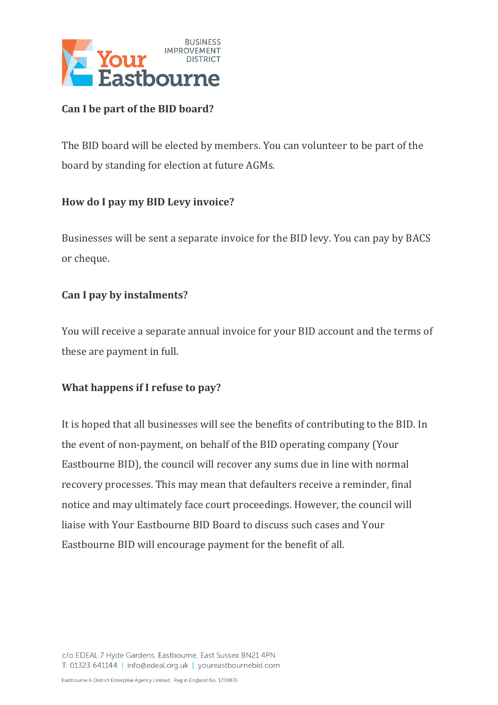

## **Can I be part of the BID board?**

The BID board will be elected by members. You can volunteer to be part of the board by standing for election at future AGMs.

## **How do I pay my BID Levy invoice?**

Businesses will be sent a separate invoice for the BID levy. You can pay by BACS or cheque.

## **Can I pay by instalments?**

You will receive a separate annual invoice for your BID account and the terms of these are payment in full.

## **What happens if I refuse to pay?**

It is hoped that all businesses will see the benefits of contributing to the BID. In the event of non-payment, on behalf of the BID operating company (Your Eastbourne BID), the council will recover any sums due in line with normal recovery processes. This may mean that defaulters receive a reminder, final notice and may ultimately face court proceedings. However, the council will liaise with Your Eastbourne BID Board to discuss such cases and Your Eastbourne BID will encourage payment for the benefit of all.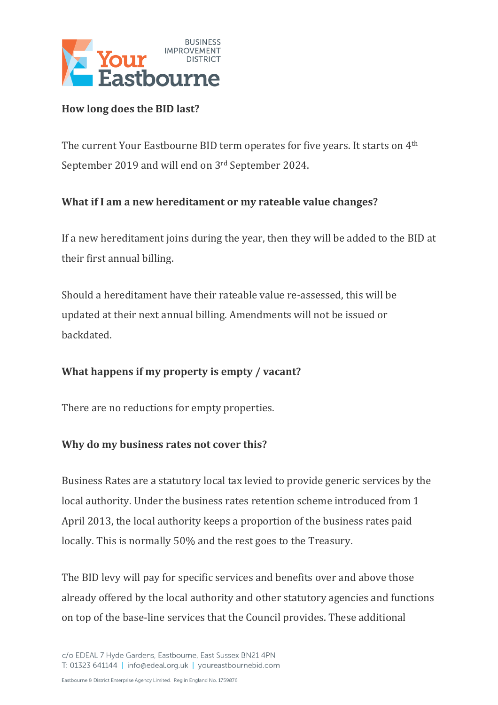

#### **How long does the BID last?**

The current Your Eastbourne BID term operates for five years. It starts on  $4^{\text{th}}$ September 2019 and will end on 3rd September 2024.

## **What if I am a new hereditament or my rateable value changes?**

If a new hereditament joins during the year, then they will be added to the BID at their first annual billing.

Should a hereditament have their rateable value re-assessed, this will be updated at their next annual billing. Amendments will not be issued or backdated.

## **What happens if my property is empty / vacant?**

There are no reductions for empty properties.

#### **Why do my business rates not cover this?**

Business Rates are a statutory local tax levied to provide generic services by the local authority. Under the business rates retention scheme introduced from 1 April 2013, the local authority keeps a proportion of the business rates paid locally. This is normally 50% and the rest goes to the Treasury.

The BID levy will pay for specific services and benefits over and above those already offered by the local authority and other statutory agencies and functions on top of the base-line services that the Council provides. These additional